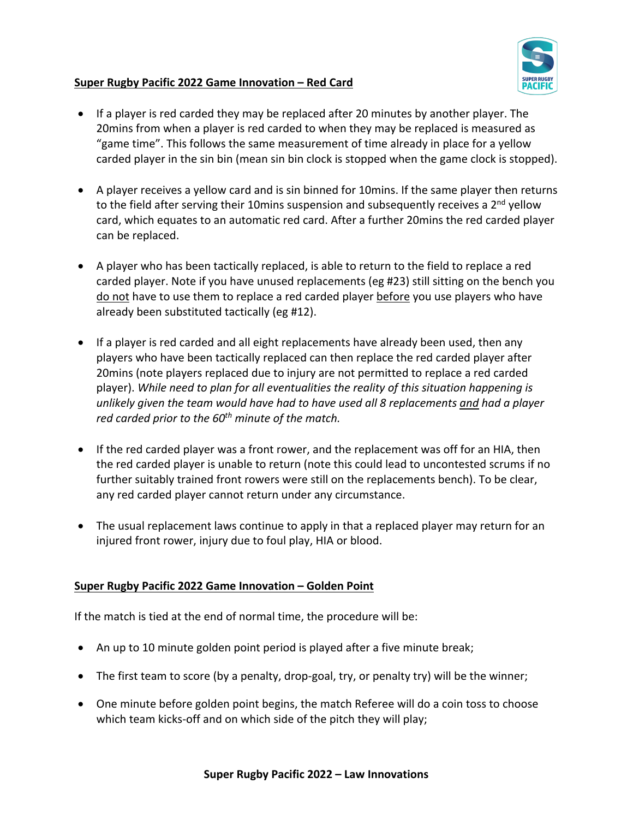

## **Super Rugby Pacific 2022 Game Innovation – Red Card**

- If a player is red carded they may be replaced after 20 minutes by another player. The 20mins from when a player is red carded to when they may be replaced is measured as "game time". This follows the same measurement of time already in place for a yellow carded player in the sin bin (mean sin bin clock is stopped when the game clock is stopped).
- A player receives a yellow card and is sin binned for 10mins. If the same player then returns to the field after serving their 10 mins suspension and subsequently receives a  $2<sup>nd</sup>$  yellow card, which equates to an automatic red card. After a further 20mins the red carded player can be replaced.
- A player who has been tactically replaced, is able to return to the field to replace a red carded player. Note if you have unused replacements (eg #23) still sitting on the bench you do not have to use them to replace a red carded player before you use players who have already been substituted tactically (eg #12).
- If a player is red carded and all eight replacements have already been used, then any players who have been tactically replaced can then replace the red carded player after 20mins (note players replaced due to injury are not permitted to replace a red carded player). *While need to plan for all eventualities the reality of this situation happening is unlikely given the team would have had to have used all 8 replacements and had a player red carded prior to the 60th minute of the match.*
- If the red carded player was a front rower, and the replacement was off for an HIA, then the red carded player is unable to return (note this could lead to uncontested scrums if no further suitably trained front rowers were still on the replacements bench). To be clear, any red carded player cannot return under any circumstance.
- The usual replacement laws continue to apply in that a replaced player may return for an injured front rower, injury due to foul play, HIA or blood.

## **Super Rugby Pacific 2022 Game Innovation – Golden Point**

If the match is tied at the end of normal time, the procedure will be:

- An up to 10 minute golden point period is played after a five minute break;
- The first team to score (by a penalty, drop-goal, try, or penalty try) will be the winner;
- One minute before golden point begins, the match Referee will do a coin toss to choose which team kicks-off and on which side of the pitch they will play;